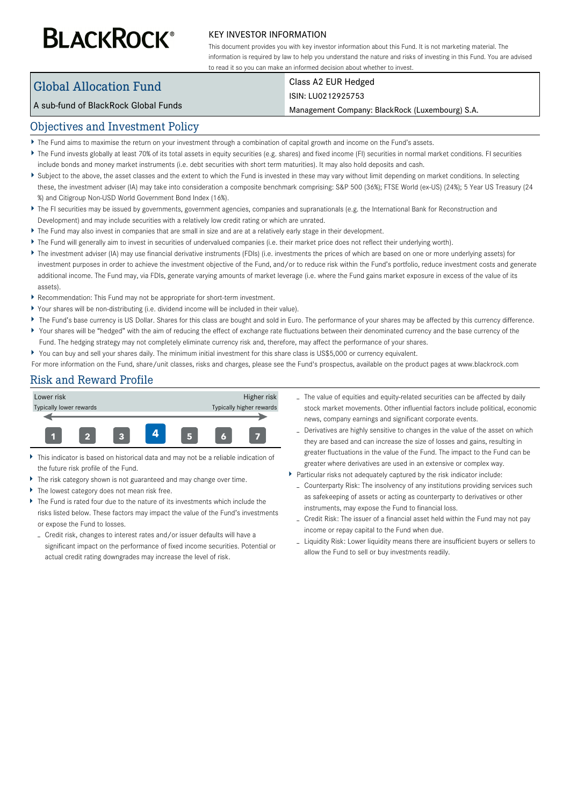# **BLACKROCK®**

#### KEY INVESTOR INFORMATION

This document provides you with key investor information about this Fund. It is not marketing material. The information is required by law to help you understand the nature and risks of investing in this Fund. You are advised to read it so you can make an informed decision about whether to invest.

# Global Allocation Fund

#### Class A2 EUR Hedged ISIN: LU0212925753

#### A sub-fund of BlackRock Global Funds

#### Management Company: BlackRock (Luxembourg) S.A.

#### Objectives and Investment Policy

- The Fund aims to maximise the return on your investment through a combination of capital growth and income on the Fund's assets.
- ▶ The Fund invests globally at least 70% of its total assets in equity securities (e.g. shares) and fixed income (FI) securities in normal market conditions. FI securities include bonds and money market instruments (i.e. debt securities with short term maturities). It may also hold deposits and cash.
- Subject to the above, the asset classes and the extent to which the Fund is invested in these may vary without limit depending on market conditions. In selecting these, the investment adviser (IA) may take into consideration a composite benchmark comprising: S&P 500 (36%); FTSE World (ex-US) (24%); 5 Year US Treasury (24 %) and Citigroup Non-USD World Government Bond Index (16%).
- ▶ The FI securities may be issued by governments, government agencies, companies and supranationals (e.g. the International Bank for Reconstruction and Development) and may include securities with a relatively low credit rating or which are unrated.
- The Fund may also invest in companies that are small in size and are at a relatively early stage in their development.
- The Fund will generally aim to invest in securities of undervalued companies (i.e. their market price does not reflect their underlying worth).
- ▶ The investment adviser (IA) may use financial derivative instruments (FDIs) (i.e. investments the prices of which are based on one or more underlying assets) for investment purposes in order to achieve the investment objective of the Fund, and/or to reduce risk within the Fund's portfolio, reduce investment costs and generate additional income. The Fund may, via FDIs, generate varying amounts of market leverage (i.e. where the Fund gains market exposure in excess of the value of its assets).
- Recommendation: This Fund may not be appropriate for short-term investment.
- Your shares will be non-distributing (i.e. dividend income will be included in their value).
- ▶ The Fund's base currency is US Dollar. Shares for this class are bought and sold in Euro. The performance of your shares may be affected by this currency difference.
- Your shares will be "hedged" with the aim of reducing the effect of exchange rate fluctuations between their denominated currency and the base currency of the Fund. The hedging strategy may not completely eliminate currency risk and, therefore, may affect the performance of your shares.
- You can buy and sell your shares daily. The minimum initial investment for this share class is US\$5,000 or currency equivalent.
- For more information on the Fund, share/unit classes, risks and charges, please see the Fund's prospectus, available on the product pages at www.blackrock.com

## Risk and Reward Profile



- $\bar{\mathbf{r}}$ This indicator is based on historical data and may not be a reliable indication of the future risk profile of the Fund.
- ь The risk category shown is not guaranteed and may change over time.
- ь The lowest category does not mean risk free.
- The Fund is rated four due to the nature of its investments which include the risks listed below. These factors may impact the value of the Fund's investments or expose the Fund to losses.
- Credit risk, changes to interest rates and/or issuer defaults will have a significant impact on the performance of fixed income securities. Potential or actual credit rating downgrades may increase the level of risk.
- The value of equities and equity-related securities can be affected by daily stock market movements. Other influential factors include political, economic news, company earnings and significant corporate events.
- Derivatives are highly sensitive to changes in the value of the asset on which they are based and can increase the size of losses and gains, resulting in greater fluctuations in the value of the Fund. The impact to the Fund can be greater where derivatives are used in an extensive or complex way.
- Particular risks not adequately captured by the risk indicator include:
	- Counterparty Risk: The insolvency of any institutions providing services such as safekeeping of assets or acting as counterparty to derivatives or other instruments, may expose the Fund to financial loss.
	- Credit Risk: The issuer of a financial asset held within the Fund may not pay income or repay capital to the Fund when due.
	- Liquidity Risk: Lower liquidity means there are insufficient buyers or sellers to allow the Fund to sell or buy investments readily.